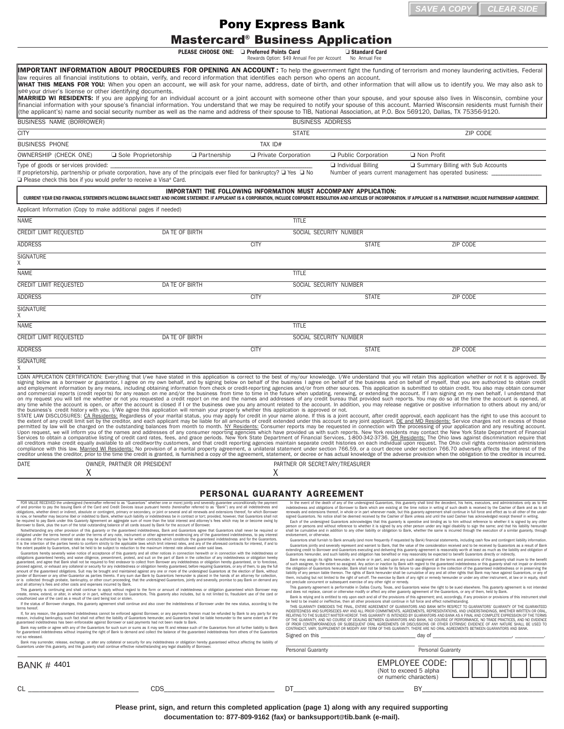## Mastercard® Business Application

|                                                                                                                                                                                                                                                               |                                                                                                                                                                                                                                                                                                                                                                                                                                                                                                                                                                                                                                                                                                                                                                                                                                                                                                                                                                                                                                                                                                                                                                                                                                                                                                                                                                                                                                                                                                                                                                                                                                                                                                                                                                                                                                                                                                                                                                                                                                                                                                                                                                                                                                                                                                                                                                                                                                                                                                                                                                                                                                                                                                                                                                                                                                                                                               | <b>Pony Express Bank</b>           |                                                                                                                          |                                                                                                                                                                                                                                                                                                                                                                                                                                                                                                                                                                                                                                                                                                                                                                                                                                                                                                                                                                                                                                                                                                                                                                                                                                                                                                                                                                      |          |
|---------------------------------------------------------------------------------------------------------------------------------------------------------------------------------------------------------------------------------------------------------------|-----------------------------------------------------------------------------------------------------------------------------------------------------------------------------------------------------------------------------------------------------------------------------------------------------------------------------------------------------------------------------------------------------------------------------------------------------------------------------------------------------------------------------------------------------------------------------------------------------------------------------------------------------------------------------------------------------------------------------------------------------------------------------------------------------------------------------------------------------------------------------------------------------------------------------------------------------------------------------------------------------------------------------------------------------------------------------------------------------------------------------------------------------------------------------------------------------------------------------------------------------------------------------------------------------------------------------------------------------------------------------------------------------------------------------------------------------------------------------------------------------------------------------------------------------------------------------------------------------------------------------------------------------------------------------------------------------------------------------------------------------------------------------------------------------------------------------------------------------------------------------------------------------------------------------------------------------------------------------------------------------------------------------------------------------------------------------------------------------------------------------------------------------------------------------------------------------------------------------------------------------------------------------------------------------------------------------------------------------------------------------------------------------------------------------------------------------------------------------------------------------------------------------------------------------------------------------------------------------------------------------------------------------------------------------------------------------------------------------------------------------------------------------------------------------------------------------------------------------------------------------------------------|------------------------------------|--------------------------------------------------------------------------------------------------------------------------|----------------------------------------------------------------------------------------------------------------------------------------------------------------------------------------------------------------------------------------------------------------------------------------------------------------------------------------------------------------------------------------------------------------------------------------------------------------------------------------------------------------------------------------------------------------------------------------------------------------------------------------------------------------------------------------------------------------------------------------------------------------------------------------------------------------------------------------------------------------------------------------------------------------------------------------------------------------------------------------------------------------------------------------------------------------------------------------------------------------------------------------------------------------------------------------------------------------------------------------------------------------------------------------------------------------------------------------------------------------------|----------|
|                                                                                                                                                                                                                                                               | <b>Mastercard<sup>®</sup> Business Application</b><br>PLEASE CHOOSE ONE: La Preferred Points Card                                                                                                                                                                                                                                                                                                                                                                                                                                                                                                                                                                                                                                                                                                                                                                                                                                                                                                                                                                                                                                                                                                                                                                                                                                                                                                                                                                                                                                                                                                                                                                                                                                                                                                                                                                                                                                                                                                                                                                                                                                                                                                                                                                                                                                                                                                                                                                                                                                                                                                                                                                                                                                                                                                                                                                                             |                                    | Standard Card                                                                                                            |                                                                                                                                                                                                                                                                                                                                                                                                                                                                                                                                                                                                                                                                                                                                                                                                                                                                                                                                                                                                                                                                                                                                                                                                                                                                                                                                                                      |          |
|                                                                                                                                                                                                                                                               |                                                                                                                                                                                                                                                                                                                                                                                                                                                                                                                                                                                                                                                                                                                                                                                                                                                                                                                                                                                                                                                                                                                                                                                                                                                                                                                                                                                                                                                                                                                                                                                                                                                                                                                                                                                                                                                                                                                                                                                                                                                                                                                                                                                                                                                                                                                                                                                                                                                                                                                                                                                                                                                                                                                                                                                                                                                                                               |                                    |                                                                                                                          |                                                                                                                                                                                                                                                                                                                                                                                                                                                                                                                                                                                                                                                                                                                                                                                                                                                                                                                                                                                                                                                                                                                                                                                                                                                                                                                                                                      |          |
| see your driver's license or other identifying documents.                                                                                                                                                                                                     | IMPORTANT INFORMATION ABOUT PROCEDURES FOR OPENING AN ACCOUNT: To help the government fight the funding of terrorism and money laundering activities, Federal<br>law requires all financial institutions to obtain, verify, and record information that identifies each person who opens an account.<br>WHAT THIS MEANS FOR YOU: When you open an account, we will ask for your name, address, date of birth, and other information that will allow us to identify you. We may also ask to<br>MARRIED WI RESIDENTS: If you are applying for an individual account or a joint account with someone other than your spouse, and your spouse also lives in Wisconsin, combine your                                                                                                                                                                                                                                                                                                                                                                                                                                                                                                                                                                                                                                                                                                                                                                                                                                                                                                                                                                                                                                                                                                                                                                                                                                                                                                                                                                                                                                                                                                                                                                                                                                                                                                                                                                                                                                                                                                                                                                                                                                                                                                                                                                                                               |                                    |                                                                                                                          |                                                                                                                                                                                                                                                                                                                                                                                                                                                                                                                                                                                                                                                                                                                                                                                                                                                                                                                                                                                                                                                                                                                                                                                                                                                                                                                                                                      |          |
|                                                                                                                                                                                                                                                               | financial information with your spouse's financial information. You understand that we may be required to notify your spouse of this account. Married Wisconsin residents must furnish their<br>(the applicant's) name and social security number as well as the name and address of their spouse to TIB, National Association, at P.O. Box 569120, Dallas, TX 75356-9120.                                                                                                                                                                                                                                                                                                                                                                                                                                                                                                                                                                                                                                                                                                                                                                                                                                                                                                                                                                                                                                                                                                                                                                                                                                                                                                                                                                                                                                                                                                                                                                                                                                                                                                                                                                                                                                                                                                                                                                                                                                                                                                                                                                                                                                                                                                                                                                                                                                                                                                                    |                                    |                                                                                                                          |                                                                                                                                                                                                                                                                                                                                                                                                                                                                                                                                                                                                                                                                                                                                                                                                                                                                                                                                                                                                                                                                                                                                                                                                                                                                                                                                                                      |          |
| BUSINESS NAME (BORROWER)                                                                                                                                                                                                                                      |                                                                                                                                                                                                                                                                                                                                                                                                                                                                                                                                                                                                                                                                                                                                                                                                                                                                                                                                                                                                                                                                                                                                                                                                                                                                                                                                                                                                                                                                                                                                                                                                                                                                                                                                                                                                                                                                                                                                                                                                                                                                                                                                                                                                                                                                                                                                                                                                                                                                                                                                                                                                                                                                                                                                                                                                                                                                                               |                                    | <b>BUSINESS ADDRESS</b>                                                                                                  |                                                                                                                                                                                                                                                                                                                                                                                                                                                                                                                                                                                                                                                                                                                                                                                                                                                                                                                                                                                                                                                                                                                                                                                                                                                                                                                                                                      |          |
| <b>CITY</b><br><b>BUSINESS PHONE</b>                                                                                                                                                                                                                          |                                                                                                                                                                                                                                                                                                                                                                                                                                                                                                                                                                                                                                                                                                                                                                                                                                                                                                                                                                                                                                                                                                                                                                                                                                                                                                                                                                                                                                                                                                                                                                                                                                                                                                                                                                                                                                                                                                                                                                                                                                                                                                                                                                                                                                                                                                                                                                                                                                                                                                                                                                                                                                                                                                                                                                                                                                                                                               | <b>STATE</b><br>TAX ID#            |                                                                                                                          |                                                                                                                                                                                                                                                                                                                                                                                                                                                                                                                                                                                                                                                                                                                                                                                                                                                                                                                                                                                                                                                                                                                                                                                                                                                                                                                                                                      | ZIP CODE |
| OWNERSHIP (CHECK ONE)                                                                                                                                                                                                                                         | Sole Proprietorship<br><b>Q</b> Partnership                                                                                                                                                                                                                                                                                                                                                                                                                                                                                                                                                                                                                                                                                                                                                                                                                                                                                                                                                                                                                                                                                                                                                                                                                                                                                                                                                                                                                                                                                                                                                                                                                                                                                                                                                                                                                                                                                                                                                                                                                                                                                                                                                                                                                                                                                                                                                                                                                                                                                                                                                                                                                                                                                                                                                                                                                                                   | Private Corporation                | Public Corporation                                                                                                       | □ Non Profit                                                                                                                                                                                                                                                                                                                                                                                                                                                                                                                                                                                                                                                                                                                                                                                                                                                                                                                                                                                                                                                                                                                                                                                                                                                                                                                                                         |          |
| Type of goods or services provided:                                                                                                                                                                                                                           |                                                                                                                                                                                                                                                                                                                                                                                                                                                                                                                                                                                                                                                                                                                                                                                                                                                                                                                                                                                                                                                                                                                                                                                                                                                                                                                                                                                                                                                                                                                                                                                                                                                                                                                                                                                                                                                                                                                                                                                                                                                                                                                                                                                                                                                                                                                                                                                                                                                                                                                                                                                                                                                                                                                                                                                                                                                                                               |                                    | Individual Billing                                                                                                       | Summary Billing with Sub Accounts                                                                                                                                                                                                                                                                                                                                                                                                                                                                                                                                                                                                                                                                                                                                                                                                                                                                                                                                                                                                                                                                                                                                                                                                                                                                                                                                    |          |
|                                                                                                                                                                                                                                                               | If proprietorship, partnership or private corporation, have any of the principals ever filed for bankruptcy? □ Yes □ No<br>$\Box$ Please check this box if you would prefer to receive a Visa® Card.                                                                                                                                                                                                                                                                                                                                                                                                                                                                                                                                                                                                                                                                                                                                                                                                                                                                                                                                                                                                                                                                                                                                                                                                                                                                                                                                                                                                                                                                                                                                                                                                                                                                                                                                                                                                                                                                                                                                                                                                                                                                                                                                                                                                                                                                                                                                                                                                                                                                                                                                                                                                                                                                                          |                                    |                                                                                                                          | Number of years current management has operated business:                                                                                                                                                                                                                                                                                                                                                                                                                                                                                                                                                                                                                                                                                                                                                                                                                                                                                                                                                                                                                                                                                                                                                                                                                                                                                                            |          |
|                                                                                                                                                                                                                                                               | <b>IMPORTANT! THE FOLLOWING INFORMATION MUST ACCOMPANY APPLICATION:</b><br>CURRENT YEAR END FINANCIAL STATEMENTS INCLUDING BALANCE SHEET AND INCOME STATEMENT. IF APPLICANT IS A CORPORATION, INCLUDE CORPORATE RESOLUTION AND ARTICLES OF INCORPORATION. IF APPLICANT IS A PARTNERSHIP, INCLUDE PARTNERS                                                                                                                                                                                                                                                                                                                                                                                                                                                                                                                                                                                                                                                                                                                                                                                                                                                                                                                                                                                                                                                                                                                                                                                                                                                                                                                                                                                                                                                                                                                                                                                                                                                                                                                                                                                                                                                                                                                                                                                                                                                                                                                                                                                                                                                                                                                                                                                                                                                                                                                                                                                     |                                    |                                                                                                                          |                                                                                                                                                                                                                                                                                                                                                                                                                                                                                                                                                                                                                                                                                                                                                                                                                                                                                                                                                                                                                                                                                                                                                                                                                                                                                                                                                                      |          |
| Applicant Information (Copy to make additional pages if needed)<br><b>NAME</b>                                                                                                                                                                                |                                                                                                                                                                                                                                                                                                                                                                                                                                                                                                                                                                                                                                                                                                                                                                                                                                                                                                                                                                                                                                                                                                                                                                                                                                                                                                                                                                                                                                                                                                                                                                                                                                                                                                                                                                                                                                                                                                                                                                                                                                                                                                                                                                                                                                                                                                                                                                                                                                                                                                                                                                                                                                                                                                                                                                                                                                                                                               | <b>TITLE</b>                       |                                                                                                                          |                                                                                                                                                                                                                                                                                                                                                                                                                                                                                                                                                                                                                                                                                                                                                                                                                                                                                                                                                                                                                                                                                                                                                                                                                                                                                                                                                                      |          |
| CREDIT LIMIT REQUESTED                                                                                                                                                                                                                                        | DA TE OF BIRTH                                                                                                                                                                                                                                                                                                                                                                                                                                                                                                                                                                                                                                                                                                                                                                                                                                                                                                                                                                                                                                                                                                                                                                                                                                                                                                                                                                                                                                                                                                                                                                                                                                                                                                                                                                                                                                                                                                                                                                                                                                                                                                                                                                                                                                                                                                                                                                                                                                                                                                                                                                                                                                                                                                                                                                                                                                                                                |                                    | SOCIAL SECURITY NUMBER                                                                                                   |                                                                                                                                                                                                                                                                                                                                                                                                                                                                                                                                                                                                                                                                                                                                                                                                                                                                                                                                                                                                                                                                                                                                                                                                                                                                                                                                                                      |          |
| <b>ADDRESS</b>                                                                                                                                                                                                                                                |                                                                                                                                                                                                                                                                                                                                                                                                                                                                                                                                                                                                                                                                                                                                                                                                                                                                                                                                                                                                                                                                                                                                                                                                                                                                                                                                                                                                                                                                                                                                                                                                                                                                                                                                                                                                                                                                                                                                                                                                                                                                                                                                                                                                                                                                                                                                                                                                                                                                                                                                                                                                                                                                                                                                                                                                                                                                                               | <b>CITY</b>                        | <b>STATE</b>                                                                                                             | ZIP CODE                                                                                                                                                                                                                                                                                                                                                                                                                                                                                                                                                                                                                                                                                                                                                                                                                                                                                                                                                                                                                                                                                                                                                                                                                                                                                                                                                             |          |
| <b>SIGNATURE</b>                                                                                                                                                                                                                                              |                                                                                                                                                                                                                                                                                                                                                                                                                                                                                                                                                                                                                                                                                                                                                                                                                                                                                                                                                                                                                                                                                                                                                                                                                                                                                                                                                                                                                                                                                                                                                                                                                                                                                                                                                                                                                                                                                                                                                                                                                                                                                                                                                                                                                                                                                                                                                                                                                                                                                                                                                                                                                                                                                                                                                                                                                                                                                               |                                    |                                                                                                                          |                                                                                                                                                                                                                                                                                                                                                                                                                                                                                                                                                                                                                                                                                                                                                                                                                                                                                                                                                                                                                                                                                                                                                                                                                                                                                                                                                                      |          |
| Х<br><b>NAME</b>                                                                                                                                                                                                                                              |                                                                                                                                                                                                                                                                                                                                                                                                                                                                                                                                                                                                                                                                                                                                                                                                                                                                                                                                                                                                                                                                                                                                                                                                                                                                                                                                                                                                                                                                                                                                                                                                                                                                                                                                                                                                                                                                                                                                                                                                                                                                                                                                                                                                                                                                                                                                                                                                                                                                                                                                                                                                                                                                                                                                                                                                                                                                                               | <b>TITLE</b>                       |                                                                                                                          |                                                                                                                                                                                                                                                                                                                                                                                                                                                                                                                                                                                                                                                                                                                                                                                                                                                                                                                                                                                                                                                                                                                                                                                                                                                                                                                                                                      |          |
| <b>CREDIT LIMIT REQUESTED</b>                                                                                                                                                                                                                                 | DA TE OF BIRTH                                                                                                                                                                                                                                                                                                                                                                                                                                                                                                                                                                                                                                                                                                                                                                                                                                                                                                                                                                                                                                                                                                                                                                                                                                                                                                                                                                                                                                                                                                                                                                                                                                                                                                                                                                                                                                                                                                                                                                                                                                                                                                                                                                                                                                                                                                                                                                                                                                                                                                                                                                                                                                                                                                                                                                                                                                                                                |                                    | SOCIAL SECURITY NUMBER                                                                                                   |                                                                                                                                                                                                                                                                                                                                                                                                                                                                                                                                                                                                                                                                                                                                                                                                                                                                                                                                                                                                                                                                                                                                                                                                                                                                                                                                                                      |          |
| <b>ADDRESS</b>                                                                                                                                                                                                                                                |                                                                                                                                                                                                                                                                                                                                                                                                                                                                                                                                                                                                                                                                                                                                                                                                                                                                                                                                                                                                                                                                                                                                                                                                                                                                                                                                                                                                                                                                                                                                                                                                                                                                                                                                                                                                                                                                                                                                                                                                                                                                                                                                                                                                                                                                                                                                                                                                                                                                                                                                                                                                                                                                                                                                                                                                                                                                                               | <b>CITY</b>                        | <b>STATE</b>                                                                                                             | ZIP CODE                                                                                                                                                                                                                                                                                                                                                                                                                                                                                                                                                                                                                                                                                                                                                                                                                                                                                                                                                                                                                                                                                                                                                                                                                                                                                                                                                             |          |
| SIGNATURE<br>Χ                                                                                                                                                                                                                                                |                                                                                                                                                                                                                                                                                                                                                                                                                                                                                                                                                                                                                                                                                                                                                                                                                                                                                                                                                                                                                                                                                                                                                                                                                                                                                                                                                                                                                                                                                                                                                                                                                                                                                                                                                                                                                                                                                                                                                                                                                                                                                                                                                                                                                                                                                                                                                                                                                                                                                                                                                                                                                                                                                                                                                                                                                                                                                               |                                    |                                                                                                                          |                                                                                                                                                                                                                                                                                                                                                                                                                                                                                                                                                                                                                                                                                                                                                                                                                                                                                                                                                                                                                                                                                                                                                                                                                                                                                                                                                                      |          |
| <b>NAME</b>                                                                                                                                                                                                                                                   |                                                                                                                                                                                                                                                                                                                                                                                                                                                                                                                                                                                                                                                                                                                                                                                                                                                                                                                                                                                                                                                                                                                                                                                                                                                                                                                                                                                                                                                                                                                                                                                                                                                                                                                                                                                                                                                                                                                                                                                                                                                                                                                                                                                                                                                                                                                                                                                                                                                                                                                                                                                                                                                                                                                                                                                                                                                                                               | <b>TITLE</b>                       |                                                                                                                          |                                                                                                                                                                                                                                                                                                                                                                                                                                                                                                                                                                                                                                                                                                                                                                                                                                                                                                                                                                                                                                                                                                                                                                                                                                                                                                                                                                      |          |
| <b>CREDIT LIMIT REQUESTED</b>                                                                                                                                                                                                                                 | DA TE OF BIRTH                                                                                                                                                                                                                                                                                                                                                                                                                                                                                                                                                                                                                                                                                                                                                                                                                                                                                                                                                                                                                                                                                                                                                                                                                                                                                                                                                                                                                                                                                                                                                                                                                                                                                                                                                                                                                                                                                                                                                                                                                                                                                                                                                                                                                                                                                                                                                                                                                                                                                                                                                                                                                                                                                                                                                                                                                                                                                |                                    | SOCIAL SECURITY NUMBER                                                                                                   |                                                                                                                                                                                                                                                                                                                                                                                                                                                                                                                                                                                                                                                                                                                                                                                                                                                                                                                                                                                                                                                                                                                                                                                                                                                                                                                                                                      |          |
|                                                                                                                                                                                                                                                               |                                                                                                                                                                                                                                                                                                                                                                                                                                                                                                                                                                                                                                                                                                                                                                                                                                                                                                                                                                                                                                                                                                                                                                                                                                                                                                                                                                                                                                                                                                                                                                                                                                                                                                                                                                                                                                                                                                                                                                                                                                                                                                                                                                                                                                                                                                                                                                                                                                                                                                                                                                                                                                                                                                                                                                                                                                                                                               |                                    |                                                                                                                          |                                                                                                                                                                                                                                                                                                                                                                                                                                                                                                                                                                                                                                                                                                                                                                                                                                                                                                                                                                                                                                                                                                                                                                                                                                                                                                                                                                      |          |
|                                                                                                                                                                                                                                                               |                                                                                                                                                                                                                                                                                                                                                                                                                                                                                                                                                                                                                                                                                                                                                                                                                                                                                                                                                                                                                                                                                                                                                                                                                                                                                                                                                                                                                                                                                                                                                                                                                                                                                                                                                                                                                                                                                                                                                                                                                                                                                                                                                                                                                                                                                                                                                                                                                                                                                                                                                                                                                                                                                                                                                                                                                                                                                               | <b>CITY</b>                        | <b>STATE</b>                                                                                                             | ZIP CODE                                                                                                                                                                                                                                                                                                                                                                                                                                                                                                                                                                                                                                                                                                                                                                                                                                                                                                                                                                                                                                                                                                                                                                                                                                                                                                                                                             |          |
|                                                                                                                                                                                                                                                               | LOAN APPLICATION CERTIFICATION: Everything that I/we have stated in this application is correct to the best of my/our knowledge. I/We understand that you will retain this application whether or not it is approved. By<br>signing below as a borrower or guarantor, I agree on my own behalf, and by signing below on behalf of the business I agree on behalf of the business and on behalf of myself, that you are authorized to obtain credit                                                                                                                                                                                                                                                                                                                                                                                                                                                                                                                                                                                                                                                                                                                                                                                                                                                                                                                                                                                                                                                                                                                                                                                                                                                                                                                                                                                                                                                                                                                                                                                                                                                                                                                                                                                                                                                                                                                                                                                                                                                                                                                                                                                                                                                                                                                                                                                                                                            |                                    |                                                                                                                          |                                                                                                                                                                                                                                                                                                                                                                                                                                                                                                                                                                                                                                                                                                                                                                                                                                                                                                                                                                                                                                                                                                                                                                                                                                                                                                                                                                      |          |
|                                                                                                                                                                                                                                                               | and employment information by any means, including obtaining information from check or credit-reporting agencies and/or from other sources. This application is submitted to obtain credit. You also may obtain consumer<br>and commercial reports (credit reports) for any reason on me and/or the business from time to time in the future when updating, renewing, or extending the account. If I am signing on my own behalf, I understand that<br>on my request you will tell me whether or not you requested a credit report on me and the names and addresses of any credit bureau that provided such reports. You may do so at the time the account is opened, at<br>any time while the account is open, or after the account is closed if I or the business owe you any amount related to the account. In addition, you may release negative or positive information to others about my and/or<br>the business's credit history with you. I/We agree this application will remain your property whether this application is approved or not.<br>STATE LAW DISCLOSURES: CA Residents: Regardless of your marital status, you may apply for credit in your name alone. If this is a joint account, after credit approval, each applicant has the right to use this account to<br>the extent of any credit limit set by the creditor, and each applicant may be liable for all amounts of credit extended under this account to any joint applicant. DE and MD Residents: Service charges not in excess of those<br>permitted by law will be charged on the outstanding balances from month to month. NY Residents: Consumer reports may be requested in connection with the processing of your application and any resulting account.<br>Upon request, we will inform you of the names and addresses of any consumer reporting agencies which have provided us with such reports. New York residents may contact the New York State Department of Financial<br>Services to obtain a comparative listing of credit card rates, fees, and grace periods. New York State Department of Financial Services, 1-800-342-3736. OH Residents: The Ohio laws against discrimination require that<br>all creditors make credit equally available to all creditworthy customers, and that credit reporting agencies maintain separate credit histories on each individual upon request. The Ohio civil rights commission administers<br>compliance with this law. Married WI Residents: No provision of a marital property agreement, a unilateral statement under section 766.59, or a court decree under section 766.70 adversely affects the interest of the<br>creditor unless the creditor, prior to the time the credit is granted, is furnished a copy of the agreement, statement, or decree or has actual knowledge of the adverse provision when the obligation to the creditor is incu |                                    |                                                                                                                          |                                                                                                                                                                                                                                                                                                                                                                                                                                                                                                                                                                                                                                                                                                                                                                                                                                                                                                                                                                                                                                                                                                                                                                                                                                                                                                                                                                      |          |
| X                                                                                                                                                                                                                                                             | OWNER, PARTNER OR PRESIDENT                                                                                                                                                                                                                                                                                                                                                                                                                                                                                                                                                                                                                                                                                                                                                                                                                                                                                                                                                                                                                                                                                                                                                                                                                                                                                                                                                                                                                                                                                                                                                                                                                                                                                                                                                                                                                                                                                                                                                                                                                                                                                                                                                                                                                                                                                                                                                                                                                                                                                                                                                                                                                                                                                                                                                                                                                                                                   | X.                                 | PARTNER OR SECRETARY/TREASURER                                                                                           |                                                                                                                                                                                                                                                                                                                                                                                                                                                                                                                                                                                                                                                                                                                                                                                                                                                                                                                                                                                                                                                                                                                                                                                                                                                                                                                                                                      |          |
|                                                                                                                                                                                                                                                               |                                                                                                                                                                                                                                                                                                                                                                                                                                                                                                                                                                                                                                                                                                                                                                                                                                                                                                                                                                                                                                                                                                                                                                                                                                                                                                                                                                                                                                                                                                                                                                                                                                                                                                                                                                                                                                                                                                                                                                                                                                                                                                                                                                                                                                                                                                                                                                                                                                                                                                                                                                                                                                                                                                                                                                                                                                                                                               | <b>PERSONAL GUARANTY AGREEMENT</b> |                                                                                                                          |                                                                                                                                                                                                                                                                                                                                                                                                                                                                                                                                                                                                                                                                                                                                                                                                                                                                                                                                                                                                                                                                                                                                                                                                                                                                                                                                                                      |          |
|                                                                                                                                                                                                                                                               | FOR VALUE RECEIVED the undersigned (hereinafter referred to as "Guarantors" whether one or more) jointly and severally guarantee unconditionally the payment<br>of and promise to pay the Issuing Bank of the Card and Credit Devices issue pursuant hereto (hereinafter referred to as "Bank") any and all indebtedness and                                                                                                                                                                                                                                                                                                                                                                                                                                                                                                                                                                                                                                                                                                                                                                                                                                                                                                                                                                                                                                                                                                                                                                                                                                                                                                                                                                                                                                                                                                                                                                                                                                                                                                                                                                                                                                                                                                                                                                                                                                                                                                                                                                                                                                                                                                                                                                                                                                                                                                                                                                  |                                    |                                                                                                                          | In the event of the death of any of the undersigned Guarantors, this guaranty shall bind the decedent, his heirs, executors, and administrators only as to the<br>indebtedness and obligations of Borrower to Bank which are existing at the time notice in writing of such death is received by the Cashier of Bank and as to al                                                                                                                                                                                                                                                                                                                                                                                                                                                                                                                                                                                                                                                                                                                                                                                                                                                                                                                                                                                                                                    |          |
|                                                                                                                                                                                                                                                               | obligations, whether direct or indirect, absolute or contingent, primary or secondary, or joint or several and all renewals and extensions thereof, for which Borrower<br>is now, or hereafter may become libel or indebted to Bank, whether such liability or indebtedness be in contract or tort; provided, however, that Guarantors shall not<br>be required to pay Bank under this Guaranty Agreement an aggregate sum of more than the total interest and attorney's fees which may be or become owing by<br>Borrower to Bank, plus the sum of the total outstanding balance of all cards issued by Bank for the account of Borrower.<br>Notwithstanding any other provision of this guaranty or the guaranteed indebtedness, Bank and Guarantors agree that Guarantors shall never be required or<br>obligated under the terms hereof or under the terms of any note, instrument or other agreement evidencing any of the guaranteed indebtedness, to pay interest<br>in excess of the maximum interest rate as may be authorized by law for written contracts which constitute the guaranteed indebtedness and for the Guarantors.<br>It is the intention of the parties hereto to conform strictly to the applicable laws which limit interest rates, and any of the aforesaid contracts for interest, if and to<br>the extent payable by Guarantors, shall be held to be subject to reduction to the maximum interest rate allowed under said laws.                                                                                                                                                                                                                                                                                                                                                                                                                                                                                                                                                                                                                                                                                                                                                                                                                                                                                                                                                                                                                                                                                                                                                                                                                                                                                                                                                                                                                                  | endorsement, or otherwise.         |                                                                                                                          | renewals and extensions thereof, in whole or in part whenever made, but this guaranty agreement shall continue in full force and effect as to all other of the under<br>signed Guarantors. No notice shall be deemed received by the Cashier of Bank unless and until the said Cashier has acknowledged receipt thereof in writing.<br>Each of the undersigned Guarantors acknowledges that this guaranty is operative and binding as to him without reference to whether it is signed by any other<br>person or persons and without reference to whether it is signed by any other person under any legal disability to sign the same; and that his liability hereunder<br>shall be cumulative and in addition to any other liability or obligation to Bank, whether the same is incurred through the execution of a similar guaranty, through<br>Guarantors shall furnish to Bank annually (and more frequently if requested by Bank) financial statements, including cash flow and contingent liability information.<br>Guarantors jointly and severally represent and warrant to Bank, that the value of the consideration received and to be received by Guarantors as a result of Bank<br>extending credit to Borrower and Guarantors executing and delivering this guaranty agreement is reasonably worth at least as much as the liability and obligation of |          |
|                                                                                                                                                                                                                                                               | Guarantors hereby severally waive notice of acceptance of this guaranty and all other notices in connection herewith or in connection with the indebtedness or<br>obligations guaranteed hereby, and waive diligence, presentment, protest, and suit on the part of Bank in the collection of any indebtedness or obligation hereby<br>guaranteed, and agree that Bank shall not be required to first endeavor to collect from Borrower any indebtedness or obligation hereby guaranteed, or to foreclose,<br>proceed against, or exhaust any collateral or security for any indebtedness or obligation hereby guaranteed, before requiring Guarantors, or any of them, to pay the full<br>amount of the guaranteed obligations. Suit may be brought and maintained against any one or more of the undersigned Guarantors at the election of Bank, without<br>joinder of Borrower or any other Guarantor as parties thereto. If any sum due Bank by Guarantors hereunder is placed in the hands of an attorney for collection,<br>or is collected through probate, bankruptcy, or other court proceeding, that the undersigned Guarantors, jointly and severally, promise to pay Bank on demand any                                                                                                                                                                                                                                                                                                                                                                                                                                                                                                                                                                                                                                                                                                                                                                                                                                                                                                                                                                                                                                                                                                                                                                                                                                                                                                                                                                                                                                                                                                                                                                                                                                                                                           |                                    | not preclude concurrent or subsequent exercise of any other right or remedy.                                             | Guarantors hereunder, and such liability and obligation has benefited or may reasonably be expected to benefit Guarantors directly or indirectly.<br>Bank may assign its rights hereunder, in whole or in part, and upon any such assignment all the terms and provisions of this guaranty shall inure to the benefit<br>of such assignee, to the extent so assigned. Any action or inaction by Bank with regard to the guaranteed indebtedness or this guaranty shall not impair or diminish<br>the obligation of Guarantors hereunder. Bank shall not be liable for its failure to use diligence in the collection of the guaranteed indebtedness or in preserving the<br>liability of any person liable thereon. The rights of Bank hereunder shall be cumulative of any and all other rights that Bank may have against Guarantors, or any of<br>them, including but not limited to the right of set-off. The exercise by Bank of any right or remedy hereunder or under any other instrument, at law or in equity, shall                                                                                                                                                                                                                                                                                                                                        |          |
|                                                                                                                                                                                                                                                               | This guaranty is continuing and shall continue to apply without regard to the form or amount of indebtedness or obligation guaranteed which Borrower may<br>create, renew, extend, or alter, in whole or in part, without notice to Guarantors. This guaranty also includes, but is not limited to, fraudulent use of the card or<br>If the status of Borrower changes, this guaranty agreement shall continue and also cover the indebtedness of Borrower under the new status, according to the<br>If, for any reason, the guaranteed indebtedness cannot be enforced against Borrower, or any payments thereon must be refunded by Bank to any party for any<br>reason, including bankruptcy, such fact shall not affect the liability of Guarantors hereunder, and Guarantors shall be liable hereunder to the same extent as if the<br>guaranteed indebtedness has been enforceable against Borrower or said payments had not been made to Bank.<br>Bank may settle or agree with any of the Guarantors for such sum or sums as it may see fit and release such of the Guarantors from all further liability to Bank                                                                                                                                                                                                                                                                                                                                                                                                                                                                                                                                                                                                                                                                                                                                                                                                                                                                                                                                                                                                                                                                                                                                                                                                                                                                                                                                                                                                                                                                                                                                                                                                                                                                                                                                                                     |                                    | be held to be invalid or ineffective, then all other provisions shall continue in full force and effect notwithstanding. | This guaranty agreement is performable in Dallas County, Texas, and Guarantors waive the right to be sued elsewhere. This guaranty agreement is not intended<br>and does not replace, cancel or otherwise modify or affect any other guaranty agreement of the Guarantors, or any of them, held by Bank<br>Bank is relying and is entitled to rely upon each and all of the provisions of this agreement; and, accordingly, if any provision or provisions of this instrument shall<br>THIS GUARANTY EMBODIES THE FINAL, ENTIRE AGREEMENT OF GUARANTORS AND BANK WITH RESPECT TO GUARANTORS' GUARANTY OF THE GUARANTEED<br>INDEBTEDNESS AND SUPERSEDES ANY AND ALL PRIOR COMMITMENTS, AGREEMENTS, REPRESENTATIONS, AND UNDERSTANDINGS, WHETHER WRITTEN OR ORAL,<br>RELATING TO THE SUBJECT MATTER HEREOF. THIS GUARANTY IS INTENDED BY GUARANTORS AND BANK AS A FINAL AND COMPLETE EXPRESSION OF THE TERMS<br>OF THE GUARANTY, AND NO COURSE OF DEALING BETWEEN GUARANTORS AND BANK, NO COURSE OF PERFORMANCE, NO TRADE PRACTICES, AND NO EVIDENCE<br>OF PRIOR CONTEMPORANEOUS OR SUBSEQUENT ORAL AGREEMENTS OR DISCUSSIONS OR OTHER EXTRINSIC EVIDENCE OF ANY NATURE SHALL BE USED TO                                                                                                                                                                               |          |
|                                                                                                                                                                                                                                                               | for guaranteed indebtedness without impairing the right of Bank to demand and collect the balance of the guaranteed indebtedness from others of the Guarantors<br>Bank may surrender, release, exchange, or alter any collateral or security for any indebtedness or obligation hereby guaranteed without affecting the liability of                                                                                                                                                                                                                                                                                                                                                                                                                                                                                                                                                                                                                                                                                                                                                                                                                                                                                                                                                                                                                                                                                                                                                                                                                                                                                                                                                                                                                                                                                                                                                                                                                                                                                                                                                                                                                                                                                                                                                                                                                                                                                                                                                                                                                                                                                                                                                                                                                                                                                                                                                          | Signed on this                     |                                                                                                                          | CONTRADICT, VARY, SUPPLEMENT OR MODIFY ANY TERM OF THIS GUARANTY. THERE ARE NO ORAL AGREEMENTS BETWEEN GUARANTORS AND BANK.<br>, day of _                                                                                                                                                                                                                                                                                                                                                                                                                                                                                                                                                                                                                                                                                                                                                                                                                                                                                                                                                                                                                                                                                                                                                                                                                            |          |
|                                                                                                                                                                                                                                                               | Guarantors under this guaranty, and this guaranty shall continue effective notwithstanding any legal disability of Borrower.                                                                                                                                                                                                                                                                                                                                                                                                                                                                                                                                                                                                                                                                                                                                                                                                                                                                                                                                                                                                                                                                                                                                                                                                                                                                                                                                                                                                                                                                                                                                                                                                                                                                                                                                                                                                                                                                                                                                                                                                                                                                                                                                                                                                                                                                                                                                                                                                                                                                                                                                                                                                                                                                                                                                                                  | Personal Guaranty                  |                                                                                                                          | Personal Guaranty                                                                                                                                                                                                                                                                                                                                                                                                                                                                                                                                                                                                                                                                                                                                                                                                                                                                                                                                                                                                                                                                                                                                                                                                                                                                                                                                                    |          |
| <b>ADDRESS</b><br><b>SIGNATURE</b><br>DATE<br>and all attorney's fees and other costs and expenses incurred by Bank.<br>unauthorized use of the card as a result of the card being lost or stolen.<br>terms hereof.<br>not so released.<br><b>BANK # 4401</b> |                                                                                                                                                                                                                                                                                                                                                                                                                                                                                                                                                                                                                                                                                                                                                                                                                                                                                                                                                                                                                                                                                                                                                                                                                                                                                                                                                                                                                                                                                                                                                                                                                                                                                                                                                                                                                                                                                                                                                                                                                                                                                                                                                                                                                                                                                                                                                                                                                                                                                                                                                                                                                                                                                                                                                                                                                                                                                               |                                    |                                                                                                                          | EMPLOYEE CODE:<br>(Not to exceed 5 alpha<br>or numeric characters)                                                                                                                                                                                                                                                                                                                                                                                                                                                                                                                                                                                                                                                                                                                                                                                                                                                                                                                                                                                                                                                                                                                                                                                                                                                                                                   |          |

## PERSONAL GUARANTY AGREEMENT

| - Dank may surrender, release, exchange, or alter any conateral or security for any indeptedness or obligation nereby guaranteed without arrecting the hability or<br>Guarantors under this guaranty, and this guaranty shall continue effective notwithstanding any legal disability of Borrower.<br><b>BANK #4401</b> |     | Personal Guaranty | Personal Guaranty                                                          |  |
|-------------------------------------------------------------------------------------------------------------------------------------------------------------------------------------------------------------------------------------------------------------------------------------------------------------------------|-----|-------------------|----------------------------------------------------------------------------|--|
|                                                                                                                                                                                                                                                                                                                         |     |                   | <b>EMPLOYEE CODE:</b><br>(Not to exceed 5 alpha)<br>or numeric characters) |  |
| $\sim$<br>◡∟                                                                                                                                                                                                                                                                                                            | CDS | D.                | B۲                                                                         |  |